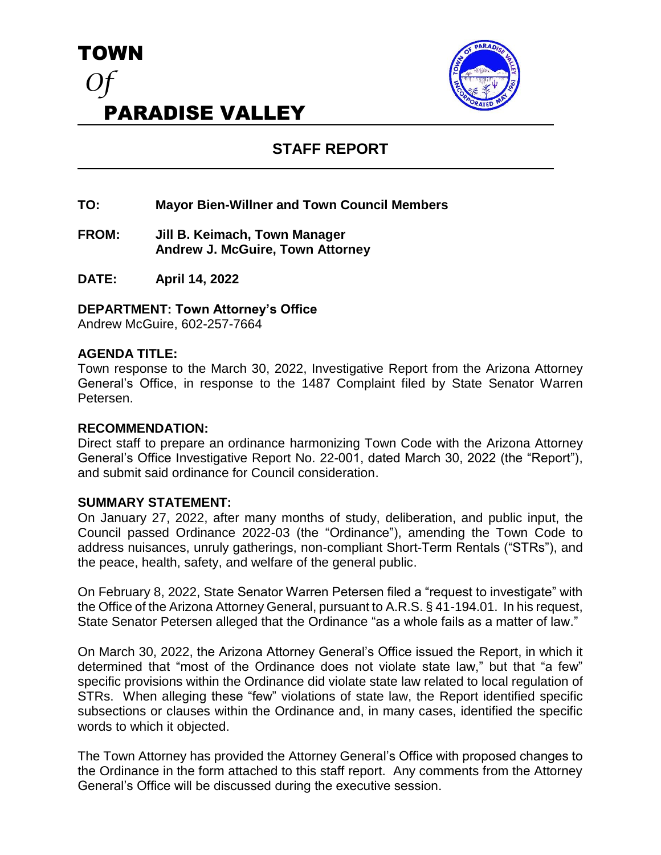



# **STAFF REPORT**

- **TO: Mayor Bien-Willner and Town Council Members**
- **FROM: Jill B. Keimach, Town Manager Andrew J. McGuire, Town Attorney**
- **DATE: April 14, 2022**

## **DEPARTMENT: Town Attorney's Office**

Andrew McGuire, 602-257-7664

### **AGENDA TITLE:**

Town response to the March 30, 2022, Investigative Report from the Arizona Attorney General's Office, in response to the 1487 Complaint filed by State Senator Warren Petersen.

#### **RECOMMENDATION:**

Direct staff to prepare an ordinance harmonizing Town Code with the Arizona Attorney General's Office Investigative Report No. 22-001, dated March 30, 2022 (the "Report"), and submit said ordinance for Council consideration.

#### **SUMMARY STATEMENT:**

On January 27, 2022, after many months of study, deliberation, and public input, the Council passed Ordinance 2022-03 (the "Ordinance"), amending the Town Code to address nuisances, unruly gatherings, non-compliant Short-Term Rentals ("STRs"), and the peace, health, safety, and welfare of the general public.

On February 8, 2022, State Senator Warren Petersen filed a "request to investigate" with the Office of the Arizona Attorney General, pursuant to A.R.S. § 41-194.01. In his request, State Senator Petersen alleged that the Ordinance "as a whole fails as a matter of law."

On March 30, 2022, the Arizona Attorney General's Office issued the Report, in which it determined that "most of the Ordinance does not violate state law," but that "a few" specific provisions within the Ordinance did violate state law related to local regulation of STRs. When alleging these "few" violations of state law, the Report identified specific subsections or clauses within the Ordinance and, in many cases, identified the specific words to which it objected.

The Town Attorney has provided the Attorney General's Office with proposed changes to the Ordinance in the form attached to this staff report. Any comments from the Attorney General's Office will be discussed during the executive session.